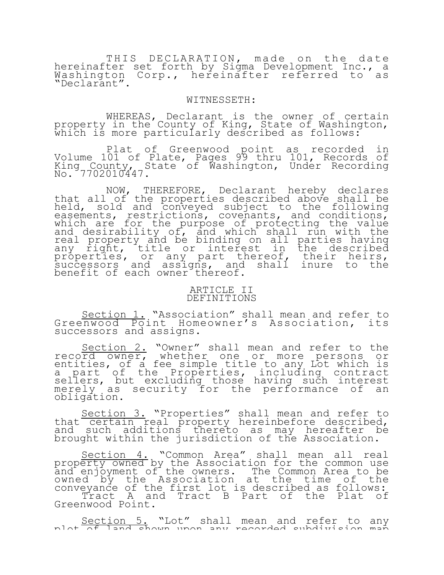THIS DECLARATION, made on the date<br>hereinafter set forth by Sigma Development Inc., a Washington Corp., hereinafter referred to as "Declarant".

### WITNESSETH:

WHEREAS, Declarant is the owner of certain<br>property in the County of King, State of Washington, which is more particularly described as follows:

Plat of Greenwood point as recorded in<br>Volume 101 of Plate, Pages 99 thru 101, Records of King County, State of Washington, Under Recording No. 7702010447.

NOW, THEREFORE, Declarant hereby declares that all of the properties described above shall be held, sold and conveyed subject to the following easements, restrictions, covenants, and conditions, which are for the purpose of protecting the value and desirability of, and which shall run with the real property and be binding on all parties having any right, title or interest in the described properties, or any part thereof, their heirs, successors and assigns, and shall inure to the benefit of each owner thereof.

#### ARTICLE II DEFINITIONS

Section 1. "Association" shall mean and refer to Greenwood Point Homeowner's Association, its successors and assigns.

Section 2. "Owner" shall mean and refer to the record owner, whether one or more persons or entities, of a fee simple title to any Lot which is a part of the Properties, including contract sellers, but excluding those having such interest merely as security for the performance of an obligation.

Section 3. "Properties" shall mean and refer to<br>that certain real property hereinbefore described, and such additions thereto as may hereafter be brought within the jurisdiction of the Association.

Section 4. "Common Area" shall mean all real property owned by the Association for the common use and enjoyment of the owners. The Common Area to be owned by the Association at the time of the conveyance of the first lot is described as follows:<br>Tract A and Tract B Part of the Plat of Tract A and Tract B Part of the Plat of<br>Greenwood Point.

Section 5. "Lot" shall mean and refer to any not of land shown upon any recorded subdivision map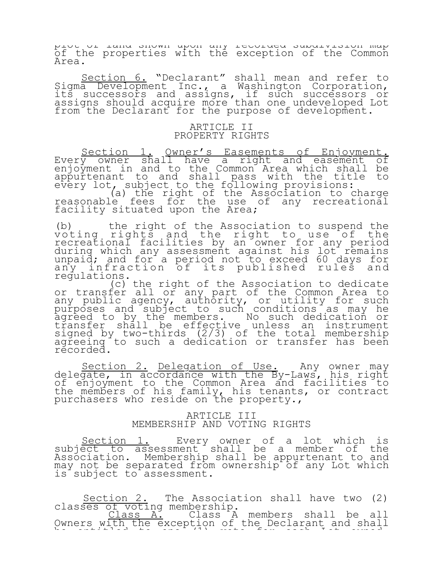Section 5. "Dealer was described subdividation map of the properties with the exception of the Common Area.

Section 6. "Declarant" shall mean and refer to Sigma Development Inc., a Washington Corporation, its successors and assigns, if such successors or assigns should acquire more than one undeveloped Lot from the Declarant for the purpose of development.

### ARTICLE II PROPERTY RIGHTS

Section 1. Owner's Easements of Enjoyment.<br>Every owner shall have a right and easement of enjoyment in and to the Common Area which shall be appurtenant to and shall pass with the title to

every lot, subject to the following provisions:<br>(a) the right of the Association to charge<br>reasonable fees for the use of any recreational reasonable fees for the use of any recreational<br>facility situated upon the Area;

(b) the right of the Association to suspend the voting rights and the right to use of the recreational facilities by an owner for any period during which any assessment against his lot remains unpaid; and for a period not to exceed 60 days for any infraction of its published rules and

regulations.<br>(c) the right of the Association to dedicate<br>or transfer all or any part of the Common Area to any public agency, authority, or utility for such purposes and subject to such conditions as may he agreed to by the members. No such dedication or transfer shall be effective unless an instrument signed by two-thirds (2/3) of the total membership agreeing to such a dedication or transfer has been recorded.

Section 2. Delegation of Use. Any owner may<br>delegate, in accordance with the By-Laws, his right of enjoyment to the Common Area and facilities to the members of his family, his tenants, or contract purchasers who reside on the property.,

### ARTICLE III MEMBERSHIP AND VOTING RIGHTS

Section 1. Every owner of a lot which is<br>subject to assessment shall be a member of the Association. Membership shall be appurtenant to and may not be separated from ownership of any Lot which is subject to assessment.

Section 2. The Association shall have two (2)<br>classes of voting membership. Class A. Class A members shall be all Owners with the exception of the Declarant and shall be entitled to one (1) vote for each Lot owned. The entitled terms of each Lot owned. The entitled of the entit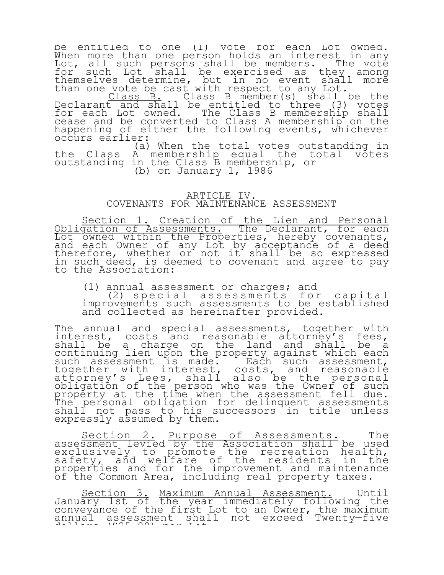be entitled to one (1) vote for each Lot owned. When more than one person holds an interest in any Lot, all such persons shall be members. The vote for such Lot shall be exercised as they among themselves determine, but in no event shall more than one vote be cast with respect to any Lot.<br>- Class B. Class B member(s) shall be the

Declarant and shall be entitled to three (3) votes for each Lot owned. The Class B membership shall cease and be converted to Class A membership on the happening of either the following events, whichever occurs earlier:<br>(a) When the total votes outstanding in

the Class A membership equal the total votes outstanding in the Class B membership, or (b) on January 1, 1986

## ARTICLE IV. COVENANTS FOR MAINTENANCE ASSESSMENT

Section 1. Creation of the Lien and Personal Obligation of Assessments. The Declarant, for each Lot owned within the Properties, hereby covenants, and each Owner of any Lot by acceptance of a deed therefore, whether or not it shall be so expressed in such deed, is deemed to covenant and agree to pay to the Association:

(1) annual assessment or charges; and<br>(2) special assessments for capital<br>improvements such assessments to be established and collected as hereinafter provided.

The annual and special assessments, together with interest, costs and reasonable attorney's fees, shall be a charge on the land and shall be a continuing lien upon the property against which each such assessment is made. I Each such assessment, together with interest, costs, and reasonable attorney's Lees, shall also be the personal obligation of the person who was the Owner of such property at the time when the assessment fell due. The personal obligation for delinquent assessments shall not pass to his successors in title unless expressly assumed by them.

Section 2. Purpose of Assessments. The assessment levied by the Association shall be used exclusively to promote the recreation health, safety, and welfare of the residents in the properties and for the improvement and maintenance of the Common Area, including real property taxes.

Section 3. Maximum Annual Assessment. Until January 1st of the year immediately following the conveyance of the first Lot to an Owner, the maximum annual assessment shall not exceed Twenty—five dollars (\$25.00) per Lot.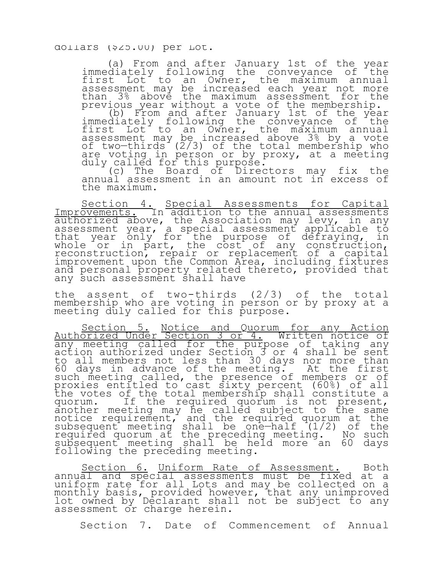dollars (\$25.00) per Lot.

(a) From and after January 1st of the year immediately following the conveyance of the first Lot to an Owner, the maximum annual assessment may be increased each year not more than 3% above the maximum assessment for the

previous year without a vote of the membership. (b) From and after January 1st of the year immediately following the conveyance of the first Lot to an Owner, the maximum annual assessment may be increased above 3% by a vote of two-thirds (2/3) of the total membership who are voting in person or by proxy, at a meeting

duly called for this purpose.<br>(c) The Board of Directors may fix the<br>annual assessment in an amount not in excess of annual assessment in an amount not in excess of<br>the maximum.

Section 4. Special Assessments for Capital Improvements. In addition to the annual assessments authorized above, the Association may levy, in any assessment year, a special assessment applicable to that year only for the purpose of defraying, in whole or in part, the cost of any construction, reconstruction, repair or replacement of a capital improvement upon the Common Area, including fixtures and personal property related thereto, provided that any such assessment shall have

the assent of two-thirds (2/3) of the total membership who are voting in person or by proxy at a meeting duly called for this purpose.

Section 5. Notice and Quorum for any Action<br>Authorized Under Section 3 or 4. Written notice of any meeting called for the purpose of taking any action authorized under Section 3 or 4 shall be sent to all members not less than 30 days nor more than 60 days in advance of the meeting. At the first such meeting called, the presence of members or of proxies entitled to cast sixty percent (60%) of all the votes of the total membership shall constitute a quorum. If the required quorum is not present, another meeting may he called subject to the same notice requirement, and the required quorum at the subsequent meeting shall be one—half (1/2) of the required quorum at the preceding meeting. No such subsequent meeting shall be held more an 60 days following the preceding meeting.

Section 6. Uniform Rate of Assessment. Both annual and special assessments must be fixed at a uniform rate for all Lots and may be collected on a monthly basis, provided however, that any unimproved lot owned by Declarant shall not be subject to any assessment or charge herein.

Section 7. Date of Commencement of Annual Assessments: Due Dates. The annual assessments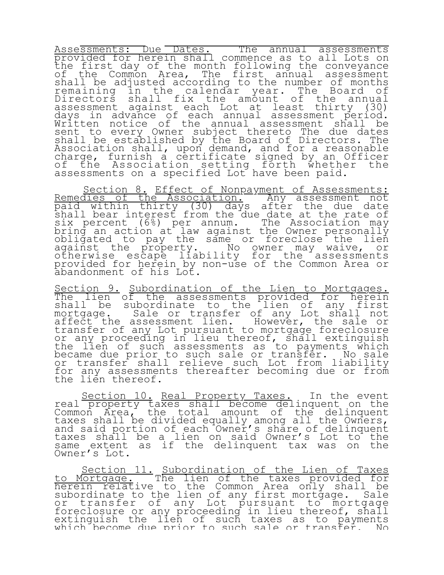section 3. Date of Commencement of Annual Annual Annual Annual Annual Annual Annual Annual Annual Annual Annua<br>Section 3. Date of Annual Annual Annual Annual Annual Annual Annual Annual Annual Annual Annual Annual Annual Assessments: Due Dates. The annual assessments provided for herein shall commence as to all Lots on the first day of the month following the conveyance of the Common Area, The first annual assessment shall be adjusted according to the number of months remaining in the calendar year. The Board of Directors shall fix the amount of the annual assessment against each Lot at least thirty (30) days in advance of each annual assessment period. Written notice of the annual assessment shall be sent to every Owner subject thereto The due dates shall be established by the Board of Directors. The Association shall, upon demand, and for a reasonable charge, furnish a certificate signed by an Officer of the Association setting forth whether the assessments on a specified Lot have been paid.

Section 8. Effect of Nonpayment of Assessments:<br>Remedies of the Association. Any assessment not<br>paid within thirty (30) days after the due date shall bear interest from the due date at the rate of six percent (6%) per annum. The Association may bring an action at law against the Owner personally obligated to pay the same or foreclose the lien against the property. No owner may waive, or otherwise escape liability for the assessments provided for herein by non-use of the Common Area or abandonment of his Lot.

Section 9. Subordination of the Lien to Mortgages.<br>The lien of the assessments provided for herein shall be subordinate to the lien of any first mortgage. Sale or transfer of any Lot shall not affect the assessment lien. However, the sale or transfer of any Lot pursuant to mortgage foreclosure or any proceeding in lieu thereof, shall extinguish the lien of such assessments as to payments which became due prior to such sale or transfer. No sale or transfer shall relieve such Lot from liability for any assessments thereafter becoming due or from the lien thereof.

Section 10. Real Property Taxes. In the event real property taxes shall become delinquent on the Common Area, the total amount of the delinquent taxes shall be divided equally among all the Owners, and said portion of each Owner's share of delinquent taxes shall be a lien on said Owner's Lot to the same extent as if the delinquent tax was on the Owner's Lot.

Section 11. Subordination of the Lien of Taxes to Mortgage. The lien of the taxes provided for herein relative to the Common Area only shall be subordinate to the lien of any first mortgage. Sale or transfer of any Lot pursuant to mortgage foreclosure or any proceeding in lieu thereof, shall extinguish the lien of such taxes as to payments which become due prior to such sale or transfer. No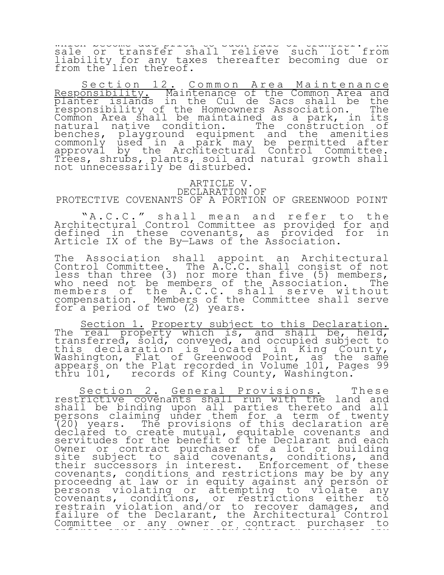which become due bring of sach sale or transfer. No sale or transfer shall relieve such lot from liability for any taxes thereafter becoming due or from the lien thereof.

Section 12. Common Area Maintenance Responsibility. Maintenance of the Common Area and planter islands in the Cul de Sacs shall be the responsibility of the Homeowners Association. The Common Area shall be maintained as a park, in its natural native condition. The construction of benches, playground equipment and the amenities commonly used in a park may be permitted after approval by the Architectural Control Committee. Trees, shrubs, plants, soil and natural growth shall not unnecessarily be disturbed.

### ARTICLE V.

### DECLARATION OF PROTECTIVE COVENANTS OF A PORTION OF GREENWOOD POINT

"A.C.C." shall mean and refer to the Architectural Control Committee as provided for and defined in these covenants, as provided for in Article IX of the By—Laws of the Association.

The Association shall appoint an Architectural Control Committee. The A.C.C. shall consist of not less than three (3) nor more than five (5) members, who need not be members of the Association. The members of the A.C.C. shall serve without compensation. Members of the Committee shall serve for a period of two (2) years.

Section 1. Property subject to this Declaration.<br>The real property which is, and shall be, held, transferred, sold, conveyed, and occupied subject to this declaration is located in King County, Washington, Flat of Greenwood Point, as the same appears on the Plat recorded in Volume 101, Pages 99 thru 101, records of King County, Washington.

Section 2. General Provisions. These restrictive covenants shall run with the land and shall be binding upon all parties thereto and all persons claiming under them for a term of twenty (20) years. The provisions of this declaration are declared to create mutual, equitable covenants and servitudes for the benefit of the Declarant and each Owner or contract purchaser of a lot or building site subject to said covenants, conditions, and their successors in interest. Enforcement of these covenants, conditions and restrictions may be by any proceedng at law or in equity against any person or persons violating or attempting to violate any covenants, conditions, or restrictions either to restrain violation and/or to recover damages, and failure of the Declarant, the Architectural Control Committee or any owner or contract purchaser to enforce any covenant, restrictions of the second covenant, restrictions or exercise  $\pm$  the second covenant  $\pm$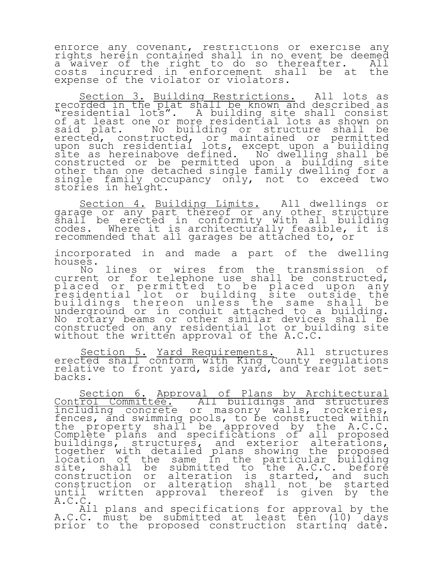enforce any covenant, restrictions or exercise any rights herein contained shall in no event be deemed<br>a waiver of the right to do so thereafter. All a waiver of the right to do so thereafter. All costs incurred in enforcement shall be at the expense of the violator or violators.

Section 3. Building Restrictions. All lots as recorded in the plat shall be known and described as "residential lots". A building site shall consist of at least one or more residential lots as shown on said plat. No building or structure shall be erected, constructed, or maintained or permitted upon such residential lots, except upon a building site as hereinabove defined. No dwelling shall be constructed or be permitted upon a building site other than one detached single family dwelling for a single family occupancy only, not to exceed two stories in height.

Section 4. Building Limits. All dwellings or<br>garage or any part thereof or any other structure shall be erected in conformity with all building codes. Where it is architecturally feasible, it is recommended that all garages be attached to, or

incorporated in and made a part of the dwelling

houses.<br>No lines or wires from the transmission of No lines or wires from the transmission of current or for telephone use shall be constructed, placed or permitted to be placed upon any residential lot or building site outside the buildings thereon unless the same shall be underground or in conduit attached to a building. No rotary beams or other similar devices shall be constructed on any residential lot or building site without the written approval of the A.C.C.

Section 5. Yard Requirements. All structures erected shall conform with King County regulations relative to front yard, side yard, and rear lot setbacks.

Section 6. Approval of Plans by Architectural Control Committee. All buildings and structures including concrete or masonry walls, rockeries, fences, and swimming pools, to be constructed within the property shall be approved by the A.C.C. Complete plans and specifications of all proposed buildings, structures, and exterior alterations, together with detailed plans showing the proposed location of the same In the particular building site, shall be submitted to the A.C.C. before construction or alteration is started, and such construction or alteration shall not be started until written approval thereof is given by the A.C.C.

All plans and specifications for approval by the<br>A.C.C. must be submitted at least ten (10) days prior to the proposed construction starting date. The maximum height of any residence shall be completed by the maximum height of any residence shall be completed by the state of any residence shall be completed by the state of any residence of any residence of any reside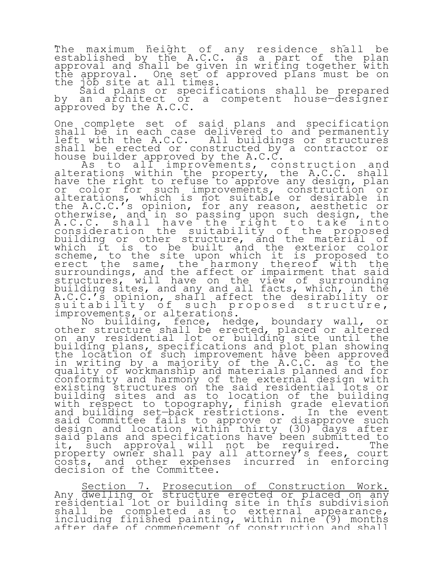prior to the proposed construction starting date. The maximum height of any residence shall be established by the A.C.C. as a part of the plan approval and shall be given in writing together with the approval. One set of approved plans must be on

the job site at all times.<br>Said plans or specifications shall be prepared<br>by an architect or a competent house—designer approved by the  $A.C.C.$ 

One complete set of said plans and specification shall be in each case delivered to and permanently left with the A.C.C. All buildings or structures shall be erected or constructed by a contractor or

house builder approved by the A.C.C.<br>As to all improvements, construction and<br>alterations within the property, the A.C.C. shall have the right to refuse to approve any design, plan or color for such improvements, construction or alterations, which is not suitable or desirable in the A.C.C.'s opinion, for any reason, aesthetic or otherwise, and in so passing upon such design, the A.C.C. shall have the right to take into consideration the suitability of the proposed building or other structure, and the material of which it is to be built and the exterior color scheme, to the site upon which it is proposed to erect the same, the harmony thereof with the surroundings, and the affect or impairment that said structures, will have on the view of surrounding building sites, and any and all facts, which, in the A.C.C.'s opinion, shall affect the desirability or suitability of such proposed structure,

improvements, or alterations.<br>No building, fence, hedge, boundary wall, or<br>other structure shall be erected, placed or altered on any residential lot or building site until the building plans, specifications and plot plan showing the location of such improvement have been approved in writing by a majority of the A.C.C. as to the quality of workmanship and materials planned and for conformity and harmony of the external design with existing structures on the said residential lots or building sites and as to location of the building with respect to topography, finish grade elevation and building set-back restrictions. In the event said Committee fails to approve or disapprove such design and location within thirty (30) days after said plans and specifications have been submitted to it, such approval will not be required. The property owner shall pay all attorney's fees, court costs, and other expenses incurred in enforcing decision of the Committee.

Section 7. Prosecution of Construction Work. Any dwelling or structure erected or placed on any residential lot or building site in this subdivision shall be completed as to external appearance, including finished painting, within nine (9) months after date of commencement of construction and shall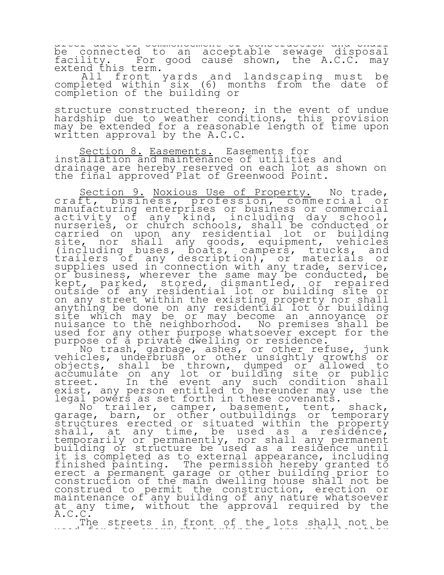after date of commencement of construction and charge be connected to an acceptable sewage disposal facility. For good cause shown, the A.C.C. may extend this term.

All front yards and landscaping must be completed within six (6) months from the date of completion of the building or

structure constructed thereon; in the event of undue hardship due to weather conditions, this provision may be extended for a reasonable length of time upon written approval by the A.C.C.

Section 8. Easements. Easements for installation and maintenance of utilities and drainage are hereby reserved on each lot as shown on the final approved Plat of Greenwood Point.

Section 9. Noxious Use of Property. No trade, craft, business, profession, commercial or manufacturing enterprises or business or commercial activity of any kind, including day school, nurseries, or church schools, shall be conducted or carried on upon any residential lot or building site, nor shall any goods, equipment, vehicles (including buses, boats, campers, trucks, and trailers of any description), or materials or supplies used in connection with any trade, service, or business, wherever the same may be conducted, be kept, parked, stored, dismantled, or repaired outside of any residential lot or building site or on any street within the existing property nor shall anything be done on any residential lot or building site which may be or may become an annoyance or nuisance to the neighborhood. No premises shall be used for any other purpose whatsoever except for the

purpose of a private dwelling or residence.<br>No trash, garbage, ashes, or other refuse, junk<br>vehicles, underbrush or other unsightly growths or objects, shall be thrown, dumped or allowed to accumulate on any lot or building site or public street. In the event any such condition shall exist, any person entitled to hereunder may use the

legal powers as set forth in these covenants.<br>No trailer, camper, basement, tent, shack,<br>garage, barn, or other outbuildings or temporary structures erected or situated within the property shall, at any time, be used as a residence, temporarily or permanently, nor shall any permanent building or structure be used as a residence until it is completed as to external appearance, including finished painting. The permission hereby granted to erect a permanent garage or other building prior to construction of the main dwelling house shall not be construed to permit the construction, erection or maintenance of any building of any nature whatsoever at any time, without the approval required by the A.C.C.

The streets in front of the lots shall not be used for the overnight parking of any version of the over  $\sigma$  and  $\sigma$  and  $\sigma$  any version of any version of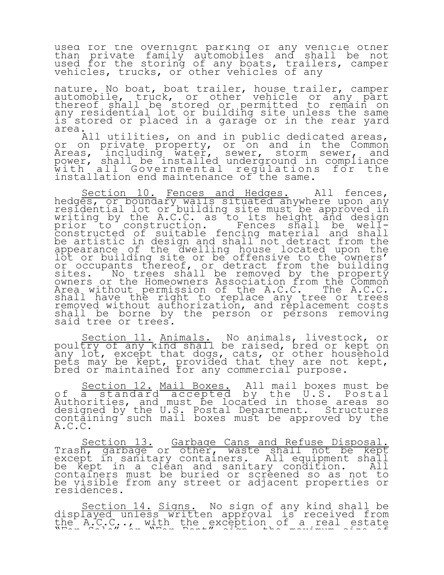used for the overnight parking of any vehicle other than private family automobiles and shall be not used for the storing of any boats, trailers, camper vehicles, trucks, or other vehicles of any

nature. No boat, boat trailer, house trailer, camper automobile, truck, or other vehicle or any part thereof shall be stored or permitted to remain on any residential lot or building site unless the same is stored or placed in a garage or in the rear yard area.

All utilities, on and in public dedicated areas,<br>or on private property, or on and in the Common Areas, including water, sewer, storm sewer, and power, shall be installed underground in compliance with all Governmental regulations for the installation end maintenance of the same.

Section 10. Fences and Hedges. All fences,<br>hedges, or boundary wails situated anywhere upon any residential lot or building site must be approved in writing by the A.C.C. as to its height and design prior to construction. Fences shall be wellconstructed of suitable fencing material and shall be artistic in design and shall not detract from the appearance of the dwelling house located upon the lot or building site or be offensive to the owners' or occupants thereof, or detract from the building sites. No trees shall be removed by the property owners or the Homeowners Association from the Common Area without permission of the A.C.C. The A.C.C. shall have the right to replace any tree or trees removed without authorization, and replacement costs shall be borne by the person or persons removing said tree or trees.

Section 11. Animals. No animals, livestock, or<br>poultry of any kind shall be raised, bred or kept on any lot, except that dogs, cats, or other household pets may be kept, provided that they are not kept, bred or maintained for any commercial purpose.

Section 12. Mail Boxes. All mail boxes must be of a standard accepted by the U.S. Postal Authorities, and must be located in those areas so designed by the U.S. Postal Department. Structures containing such mail boxes must be approved by the A.C.C.

Section 13. Garbage Cans and Refuse Disposal.<br>Trash, garbage or other, waste shall not be kept except in sanitary containers. All equipment shall be kept in a clean and sanitary condition. All containers must be buried or screened so as not to be visible from any street or adjacent properties or residences.

Section 14. Signs. No sign of any kind shall be displayed unless written approval is received from the A.C.C.., with the exception of a real estate  $\overline{N}$   $\overline{m}$  and  $\overline{m}$   $\overline{m}$   $\overline{m}$   $\overline{m}$  and  $\overline{m}$   $\overline{m}$  and  $\overline{m}$  and  $\overline{m}$  and  $\overline{m}$  and  $\overline{m}$  and  $\overline{m}$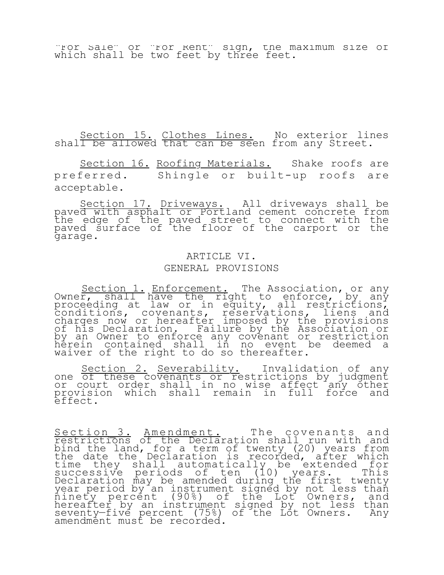"For Sale" or "For Rent" sign, the maximum size of which shall be two feet by three feet.

Section 15. Clothes Lines. No exterior lines shall be allowed that can be seen from any Street.

Section 16. Roofing Materials. Shake roofs are preferred. Shingle or built-up roofs are acceptable.

Section 17. Driveways. All driveways shall be<br>paved with asphalt or Portland cement concrete from the edge of the paved street to connect with the paved surface of the floor of the carport or the garage.

# ARTICLE VI. GENERAL PROVISIONS

Section 1. Enforcement. The Association, or any<br>Owner, shall have the right to enforce, by any proceeding at law or in equity, all restrictions, conditions, covenants, reservations, liens and charges now or hereafter imposed by the provisions of his Declaration. Failure by the Association or by an Owner to enforce any covenant or restriction hérein contained shall in no event be deemed a waiver of the right to do so thereafter.

Section 2. Severability. Invalidation of any<br>one of these covenants or restrictions by judgment or court order shall in no wise affect any other provision which shall remain in full force and effect.

Section 3. Amendment. The covenants and restrictions of the Declaration shall run with and bind the land, for a term of twenty (20) years from the date the Declaration is recorded, after which time they shall automatically be extended for successive periods of ten (10) years. This Declaration may be amended during the first twenty year period by an instrument signed by not less than ninety percent (90%) of the Lot Owners, and hereafter by an instrument signed by not less than seventy-five percent (75%) of the Lot Owners. Any amendment must be recorded.